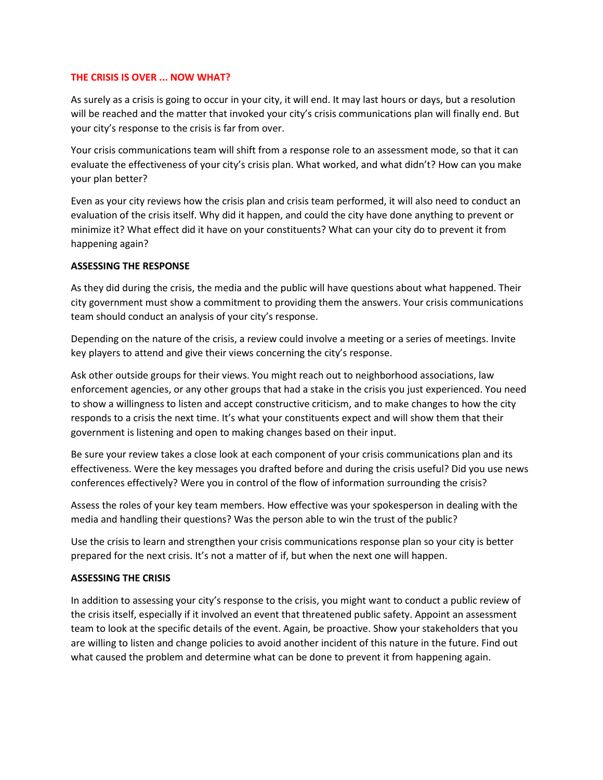## **THE CRISIS IS OVER ... NOW WHAT?**

As surely as a crisis is going to occur in your city, it will end. It may last hours or days, but a resolution will be reached and the matter that invoked your city's crisis communications plan will finally end. But your city's response to the crisis is far from over.

Your crisis communications team will shift from a response role to an assessment mode, so that it can evaluate the effectiveness of your city's crisis plan. What worked, and what didn't? How can you make your plan better?

Even as your city reviews how the crisis plan and crisis team performed, it will also need to conduct an evaluation of the crisis itself. Why did it happen, and could the city have done anything to prevent or minimize it? What effect did it have on your constituents? What can your city do to prevent it from happening again?

# **ASSESSING THE RESPONSE**

As they did during the crisis, the media and the public will have questions about what happened. Their city government must show a commitment to providing them the answers. Your crisis communications team should conduct an analysis of your city's response.

Depending on the nature of the crisis, a review could involve a meeting or a series of meetings. Invite key players to attend and give their views concerning the city's response.

Ask other outside groups for their views. You might reach out to neighborhood associations, law enforcement agencies, or any other groups that had a stake in the crisis you just experienced. You need to show a willingness to listen and accept constructive criticism, and to make changes to how the city responds to a crisis the next time. It's what your constituents expect and will show them that their government is listening and open to making changes based on their input.

Be sure your review takes a close look at each component of your crisis communications plan and its effectiveness. Were the key messages you drafted before and during the crisis useful? Did you use news conferences effectively? Were you in control of the flow of information surrounding the crisis?

Assess the roles of your key team members. How effective was your spokesperson in dealing with the media and handling their questions? Was the person able to win the trust of the public?

Use the crisis to learn and strengthen your crisis communications response plan so your city is better prepared for the next crisis. It's not a matter of if, but when the next one will happen.

# **ASSESSING THE CRISIS**

In addition to assessing your city's response to the crisis, you might want to conduct a public review of the crisis itself, especially if it involved an event that threatened public safety. Appoint an assessment team to look at the specific details of the event. Again, be proactive. Show your stakeholders that you are willing to listen and change policies to avoid another incident of this nature in the future. Find out what caused the problem and determine what can be done to prevent it from happening again.